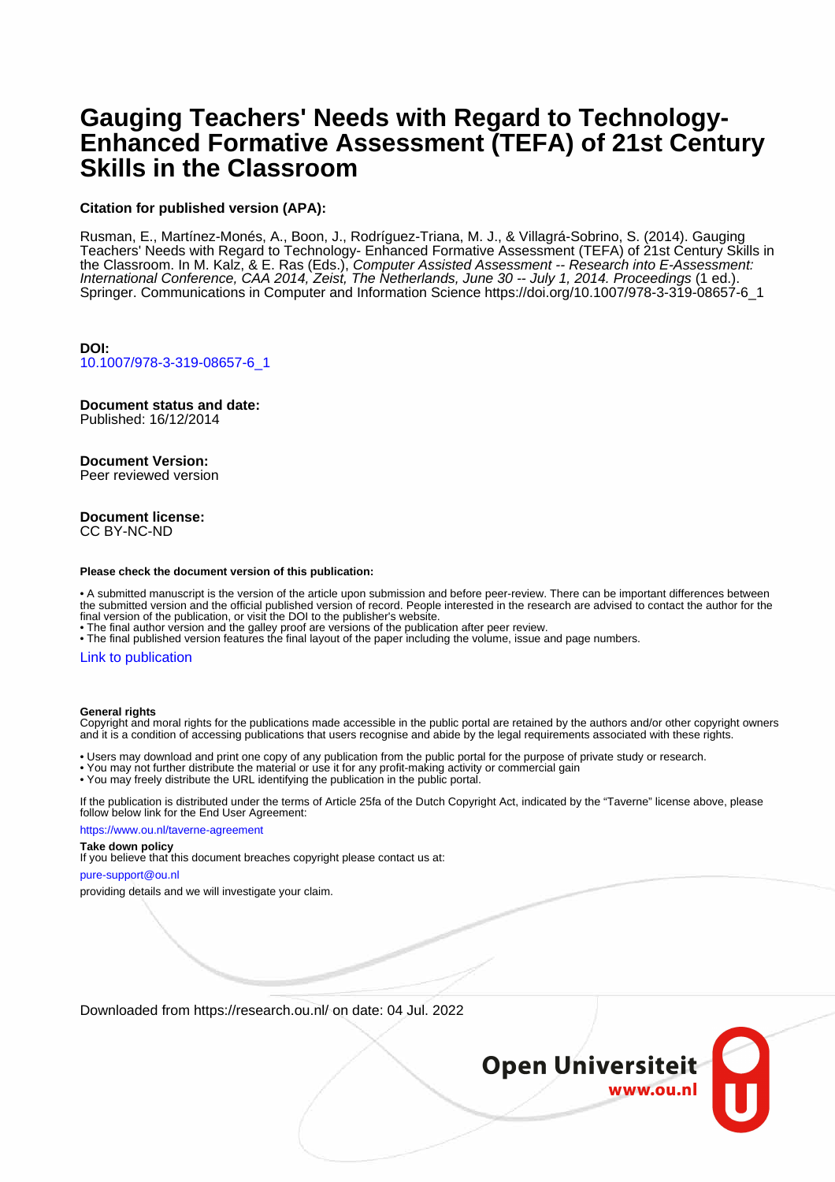# **Gauging Teachers' Needs with Regard to Technology-Enhanced Formative Assessment (TEFA) of 21st Century Skills in the Classroom**

#### **Citation for published version (APA):**

Rusman, E., Martínez-Monés, A., Boon, J., Rodríguez-Triana, M. J., & Villagrá-Sobrino, S. (2014). Gauging Teachers' Needs with Regard to Technology- Enhanced Formative Assessment (TEFA) of 21st Century Skills in the Classroom. In M. Kalz, & E. Ras (Eds.), Computer Assisted Assessment -- Research into E-Assessment: International Conference, CAA 2014, Zeist, The Netherlands, June 30 -- July 1, 2014. Proceedings (1 ed.). Springer. Communications in Computer and Information Science [https://doi.org/10.1007/978-3-319-08657-6\\_1](https://doi.org/10.1007/978-3-319-08657-6_1)

**DOI:** [10.1007/978-3-319-08657-6\\_1](https://doi.org/10.1007/978-3-319-08657-6_1)

#### **Document status and date:** Published: 16/12/2014

# **Document Version:**

Peer reviewed version

# **Document license:**

CC BY-NC-ND

#### **Please check the document version of this publication:**

• A submitted manuscript is the version of the article upon submission and before peer-review. There can be important differences between the submitted version and the official published version of record. People interested in the research are advised to contact the author for the final version of the publication, or visit the DOI to the publisher's website.

• The final author version and the galley proof are versions of the publication after peer review.

• The final published version features the final layout of the paper including the volume, issue and page numbers.

#### [Link to publication](https://research.ou.nl/en/publications/56a7ca2b-9173-4404-a2d9-aeed1482abdc)

#### **General rights**

Copyright and moral rights for the publications made accessible in the public portal are retained by the authors and/or other copyright owners and it is a condition of accessing publications that users recognise and abide by the legal requirements associated with these rights.

• Users may download and print one copy of any publication from the public portal for the purpose of private study or research.

- You may not further distribute the material or use it for any profit-making activity or commercial gain
- You may freely distribute the URL identifying the publication in the public portal.

If the publication is distributed under the terms of Article 25fa of the Dutch Copyright Act, indicated by the "Taverne" license above, please follow below link for the End User Agreement:

https://www.ou.nl/taverne-agreement

#### **Take down policy**

If you believe that this document breaches copyright please contact us at:

pure-support@ou.nl

providing details and we will investigate your claim.

Downloaded from https://research.ou.nl/ on date: 04 Jul. 2022

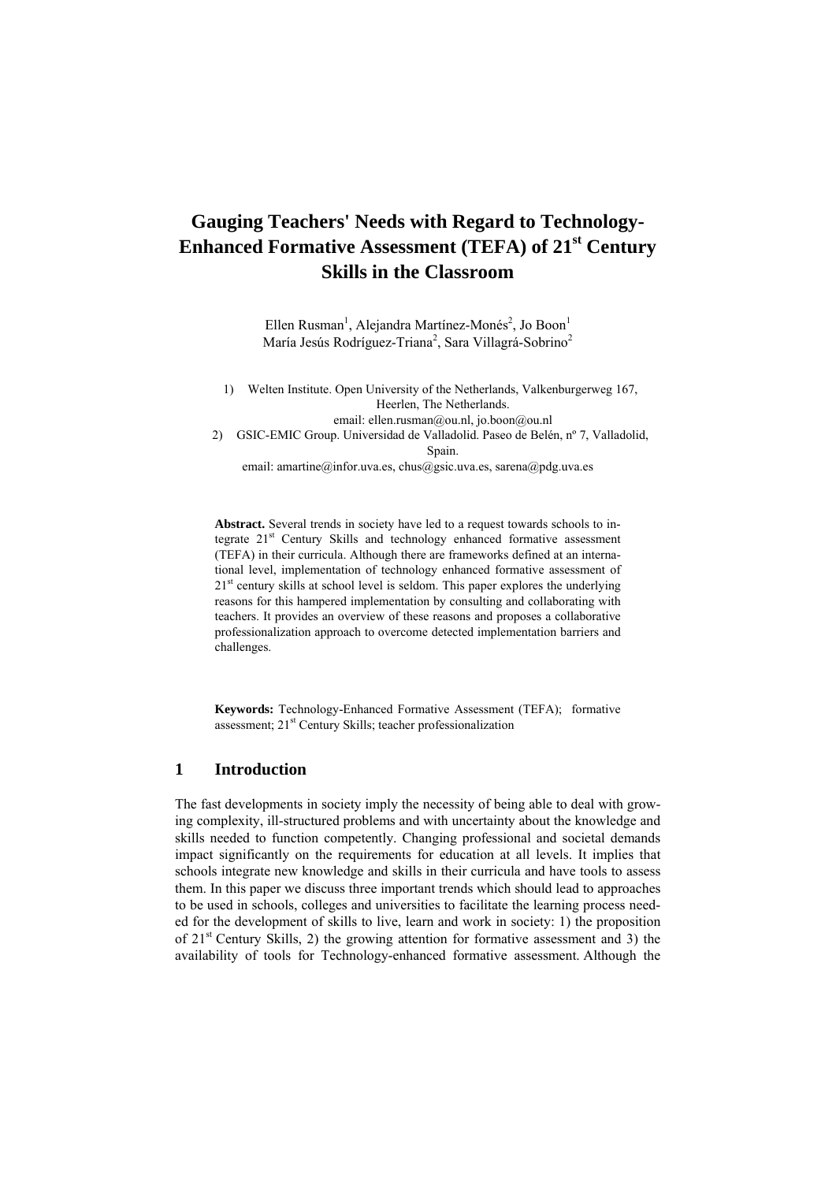# **Gauging Teachers' Needs with Regard to Technology-Enhanced Formative Assessment (TEFA) of 21st Century Skills in the Classroom**

Ellen Rusman<sup>1</sup>, Alejandra Martínez-Monés<sup>2</sup>, Jo Boon<sup>1</sup> María Jesús Rodríguez-Triana<sup>2</sup>, Sara Villagrá-Sobrino<sup>2</sup>

1) Welten Institute. Open University of the Netherlands, Valkenburgerweg 167, Heerlen, The Netherlands. email: ellen.rusman@ou.nl, jo.boon@ou.nl 2) GSIC-EMIC Group. Universidad de Valladolid. Paseo de Belén, nº 7, Valladolid, Spain. email: amartine@infor.uva.es, chus@gsic.uva.es, sarena@pdg.uva.es

**Abstract.** Several trends in society have led to a request towards schools to integrate 21st Century Skills and technology enhanced formative assessment (TEFA) in their curricula. Although there are frameworks defined at an international level, implementation of technology enhanced formative assessment of 21<sup>st</sup> century skills at school level is seldom. This paper explores the underlying reasons for this hampered implementation by consulting and collaborating with teachers. It provides an overview of these reasons and proposes a collaborative professionalization approach to overcome detected implementation barriers and challenges.

**Keywords:** Technology-Enhanced Formative Assessment (TEFA); formative assessment; 21<sup>st</sup> Century Skills; teacher professionalization

## **1 Introduction**

The fast developments in society imply the necessity of being able to deal with growing complexity, ill-structured problems and with uncertainty about the knowledge and skills needed to function competently. Changing professional and societal demands impact significantly on the requirements for education at all levels. It implies that schools integrate new knowledge and skills in their curricula and have tools to assess them. In this paper we discuss three important trends which should lead to approaches to be used in schools, colleges and universities to facilitate the learning process needed for the development of skills to live, learn and work in society: 1) the proposition of  $21<sup>st</sup>$  Century Skills, 2) the growing attention for formative assessment and 3) the availability of tools for Technology-enhanced formative assessment. Although the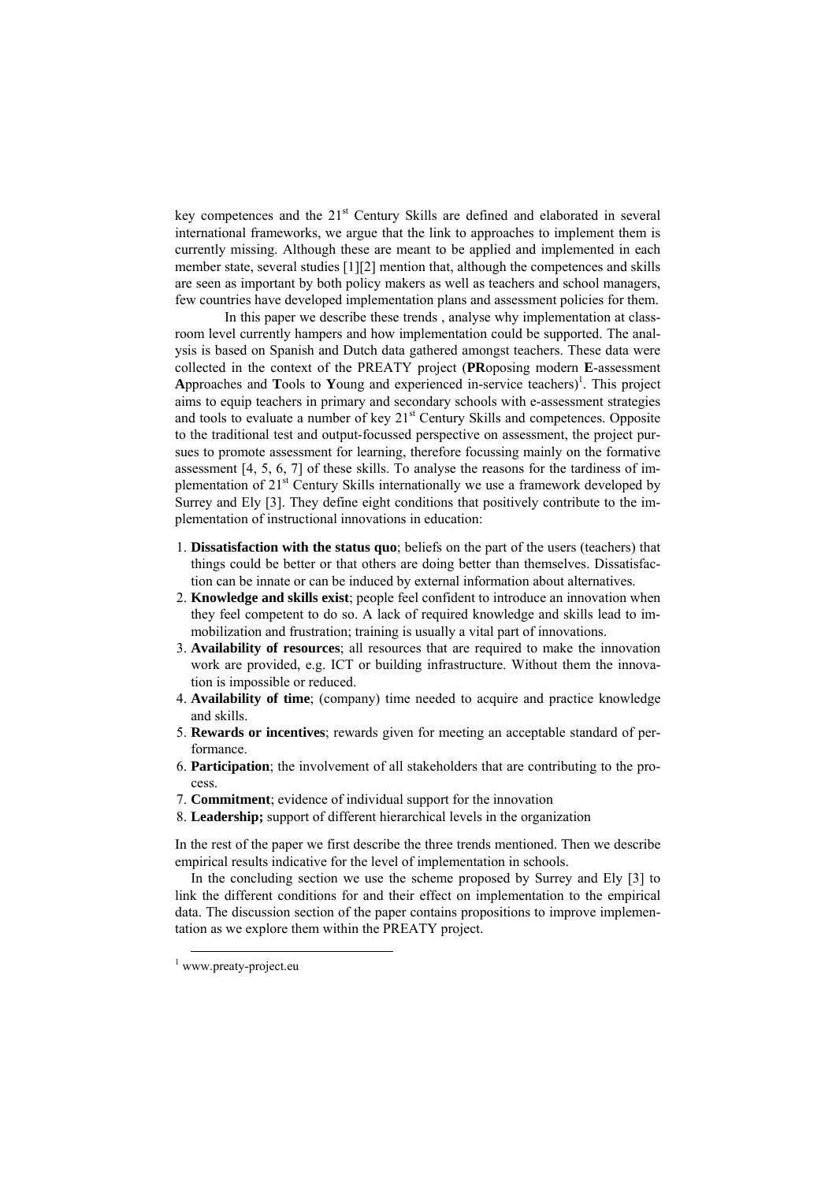key competences and the  $21<sup>st</sup>$  Century Skills are defined and elaborated in several international frameworks, we argue that the link to approaches to implement them is currently missing. Although these are meant to be applied and implemented in each member state, several studies [1][2] mention that, although the competences and skills are seen as important by both policy makers as well as teachers and school managers, few countries have developed implementation plans and assessment policies for them.

In this paper we describe these trends , analyse why implementation at classroom level currently hampers and how implementation could be supported. The analysis is based on Spanish and Dutch data gathered amongst teachers. These data were collected in the context of the PREATY project (**PR**oposing modern **E**-assessment Approaches and **T**ools to Young and experienced in-service teachers)<sup>1</sup>. This project aims to equip teachers in primary and secondary schools with e-assessment strategies and tools to evaluate a number of key  $21<sup>st</sup>$  Century Skills and competences. Opposite to the traditional test and output-focussed perspective on assessment, the project pursues to promote assessment for learning, therefore focussing mainly on the formative assessment [4, 5, 6, 7] of these skills. To analyse the reasons for the tardiness of implementation of 21<sup>st</sup> Century Skills internationally we use a framework developed by Surrey and Ely [3]. They define eight conditions that positively contribute to the implementation of instructional innovations in education:

- 1. **Dissatisfaction with the status quo**; beliefs on the part of the users (teachers) that things could be better or that others are doing better than themselves. Dissatisfaction can be innate or can be induced by external information about alternatives.
- 2. **Knowledge and skills exist**; people feel confident to introduce an innovation when they feel competent to do so. A lack of required knowledge and skills lead to immobilization and frustration; training is usually a vital part of innovations.
- 3. **Availability of resources**; all resources that are required to make the innovation work are provided, e.g. ICT or building infrastructure. Without them the innovation is impossible or reduced.
- 4. **Availability of time**; (company) time needed to acquire and practice knowledge and skills.
- 5. **Rewards or incentives**; rewards given for meeting an acceptable standard of performance.
- 6. **Participation**; the involvement of all stakeholders that are contributing to the process.
- 7. **Commitment**; evidence of individual support for the innovation
- 8. **Leadership;** support of different hierarchical levels in the organization

In the rest of the paper we first describe the three trends mentioned. Then we describe empirical results indicative for the level of implementation in schools.

In the concluding section we use the scheme proposed by Surrey and Ely [3] to link the different conditions for and their effect on implementation to the empirical data. The discussion section of the paper contains propositions to improve implementation as we explore them within the PREATY project.

<sup>&</sup>lt;sup>1</sup> www.preaty-project.eu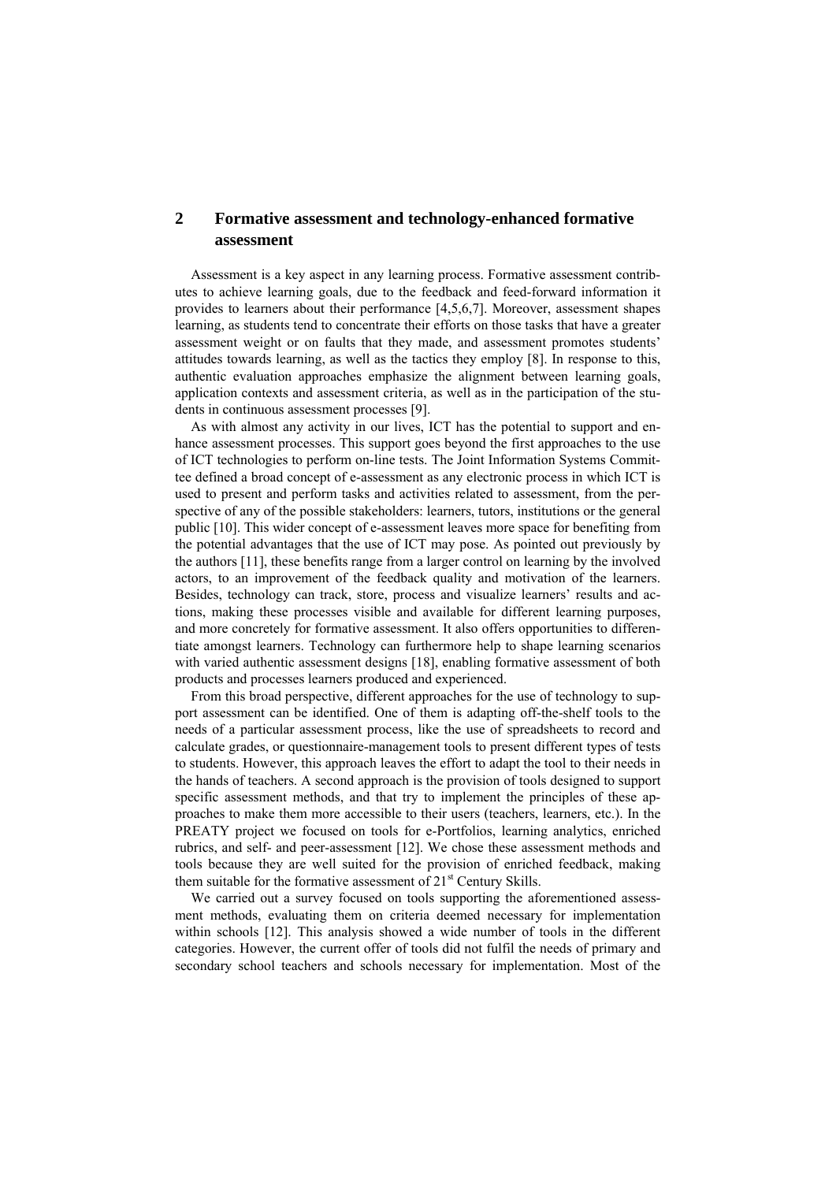## **2 Formative assessment and technology-enhanced formative assessment**

Assessment is a key aspect in any learning process. Formative assessment contributes to achieve learning goals, due to the feedback and feed-forward information it provides to learners about their performance [4,5,6,7]. Moreover, assessment shapes learning, as students tend to concentrate their efforts on those tasks that have a greater assessment weight or on faults that they made, and assessment promotes students' attitudes towards learning, as well as the tactics they employ [8]. In response to this, authentic evaluation approaches emphasize the alignment between learning goals, application contexts and assessment criteria, as well as in the participation of the students in continuous assessment processes [9].

As with almost any activity in our lives, ICT has the potential to support and enhance assessment processes. This support goes beyond the first approaches to the use of ICT technologies to perform on-line tests. The Joint Information Systems Committee defined a broad concept of e-assessment as any electronic process in which ICT is used to present and perform tasks and activities related to assessment, from the perspective of any of the possible stakeholders: learners, tutors, institutions or the general public [10]. This wider concept of e-assessment leaves more space for benefiting from the potential advantages that the use of ICT may pose. As pointed out previously by the authors [11], these benefits range from a larger control on learning by the involved actors, to an improvement of the feedback quality and motivation of the learners. Besides, technology can track, store, process and visualize learners' results and actions, making these processes visible and available for different learning purposes, and more concretely for formative assessment. It also offers opportunities to differentiate amongst learners. Technology can furthermore help to shape learning scenarios with varied authentic assessment designs [18], enabling formative assessment of both products and processes learners produced and experienced.

From this broad perspective, different approaches for the use of technology to support assessment can be identified. One of them is adapting off-the-shelf tools to the needs of a particular assessment process, like the use of spreadsheets to record and calculate grades, or questionnaire-management tools to present different types of tests to students. However, this approach leaves the effort to adapt the tool to their needs in the hands of teachers. A second approach is the provision of tools designed to support specific assessment methods, and that try to implement the principles of these approaches to make them more accessible to their users (teachers, learners, etc.). In the PREATY project we focused on tools for e-Portfolios, learning analytics, enriched rubrics, and self- and peer-assessment [12]. We chose these assessment methods and tools because they are well suited for the provision of enriched feedback, making them suitable for the formative assessment of  $21<sup>st</sup>$  Century Skills.

We carried out a survey focused on tools supporting the aforementioned assessment methods, evaluating them on criteria deemed necessary for implementation within schools [12]. This analysis showed a wide number of tools in the different categories. However, the current offer of tools did not fulfil the needs of primary and secondary school teachers and schools necessary for implementation. Most of the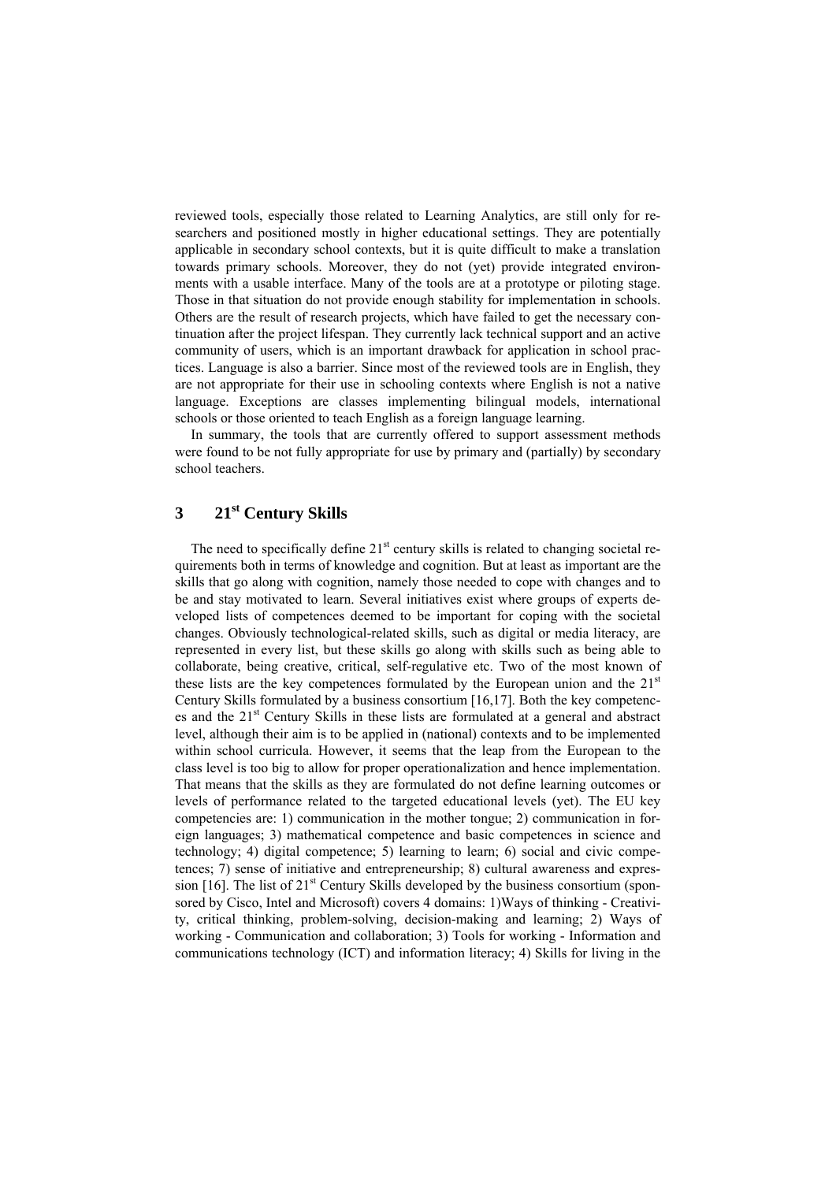reviewed tools, especially those related to Learning Analytics, are still only for researchers and positioned mostly in higher educational settings. They are potentially applicable in secondary school contexts, but it is quite difficult to make a translation towards primary schools. Moreover, they do not (yet) provide integrated environments with a usable interface. Many of the tools are at a prototype or piloting stage. Those in that situation do not provide enough stability for implementation in schools. Others are the result of research projects, which have failed to get the necessary continuation after the project lifespan. They currently lack technical support and an active community of users, which is an important drawback for application in school practices. Language is also a barrier. Since most of the reviewed tools are in English, they are not appropriate for their use in schooling contexts where English is not a native language. Exceptions are classes implementing bilingual models, international schools or those oriented to teach English as a foreign language learning.

In summary, the tools that are currently offered to support assessment methods were found to be not fully appropriate for use by primary and (partially) by secondary school teachers.

## **3 21st Century Skills**

The need to specifically define  $21<sup>st</sup>$  century skills is related to changing societal requirements both in terms of knowledge and cognition. But at least as important are the skills that go along with cognition, namely those needed to cope with changes and to be and stay motivated to learn. Several initiatives exist where groups of experts developed lists of competences deemed to be important for coping with the societal changes. Obviously technological-related skills, such as digital or media literacy, are represented in every list, but these skills go along with skills such as being able to collaborate, being creative, critical, self-regulative etc. Two of the most known of these lists are the key competences formulated by the European union and the  $21<sup>st</sup>$ Century Skills formulated by a business consortium [16,17]. Both the key competences and the  $21<sup>st</sup>$  Century Skills in these lists are formulated at a general and abstract level, although their aim is to be applied in (national) contexts and to be implemented within school curricula. However, it seems that the leap from the European to the class level is too big to allow for proper operationalization and hence implementation. That means that the skills as they are formulated do not define learning outcomes or levels of performance related to the targeted educational levels (yet). The EU key competencies are: 1) communication in the mother tongue; 2) communication in foreign languages; 3) mathematical competence and basic competences in science and technology; 4) digital competence; 5) learning to learn; 6) social and civic competences; 7) sense of initiative and entrepreneurship; 8) cultural awareness and expression [16]. The list of  $21<sup>st</sup>$  Century Skills developed by the business consortium (sponsored by Cisco, Intel and Microsoft) covers 4 domains: 1)Ways of thinking - Creativity, critical thinking, problem-solving, decision-making and learning; 2) Ways of working - Communication and collaboration; 3) Tools for working - Information and communications technology (ICT) and information literacy; 4) Skills for living in the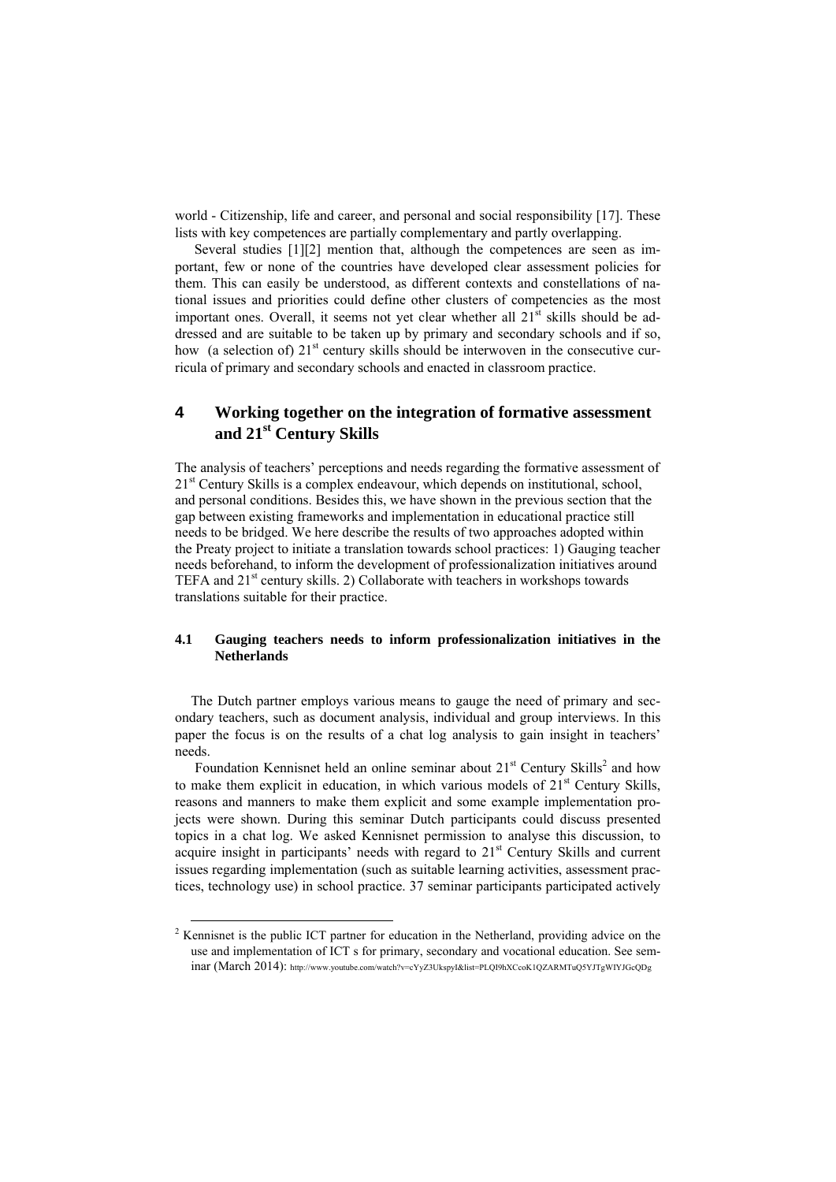world - Citizenship, life and career, and personal and social responsibility [17]. These lists with key competences are partially complementary and partly overlapping.

 Several studies [1][2] mention that, although the competences are seen as important, few or none of the countries have developed clear assessment policies for them. This can easily be understood, as different contexts and constellations of national issues and priorities could define other clusters of competencies as the most important ones. Overall, it seems not yet clear whether all  $21<sup>st</sup>$  skills should be addressed and are suitable to be taken up by primary and secondary schools and if so, how (a selection of)  $21<sup>st</sup>$  century skills should be interwoven in the consecutive curricula of primary and secondary schools and enacted in classroom practice.

# **4 Working together on the integration of formative assessment and 21st Century Skills**

The analysis of teachers' perceptions and needs regarding the formative assessment of 21<sup>st</sup> Century Skills is a complex endeavour, which depends on institutional, school, and personal conditions. Besides this, we have shown in the previous section that the gap between existing frameworks and implementation in educational practice still needs to be bridged. We here describe the results of two approaches adopted within the Preaty project to initiate a translation towards school practices: 1) Gauging teacher needs beforehand, to inform the development of professionalization initiatives around TEFA and 21<sup>st</sup> century skills. 2) Collaborate with teachers in workshops towards translations suitable for their practice.

### **4.1 Gauging teachers needs to inform professionalization initiatives in the Netherlands**

The Dutch partner employs various means to gauge the need of primary and secondary teachers, such as document analysis, individual and group interviews. In this paper the focus is on the results of a chat log analysis to gain insight in teachers' needs.

Foundation Kennisnet held an online seminar about  $21<sup>st</sup>$  Century Skills<sup>2</sup> and how to make them explicit in education, in which various models of  $21<sup>st</sup>$  Century Skills, reasons and manners to make them explicit and some example implementation projects were shown. During this seminar Dutch participants could discuss presented topics in a chat log. We asked Kennisnet permission to analyse this discussion, to acquire insight in participants' needs with regard to 21<sup>st</sup> Century Skills and current issues regarding implementation (such as suitable learning activities, assessment practices, technology use) in school practice. 37 seminar participants participated actively

<sup>&</sup>lt;sup>2</sup> Kennisnet is the public ICT partner for education in the Netherland, providing advice on the use and implementation of ICT s for primary, secondary and vocational education. See seminar (March 2014): http://www.youtube.com/watch?v=cYyZ3UkspyI&list=PLQI9hXCcoK1QZARMTuQ5YJTgWIYJGcQDg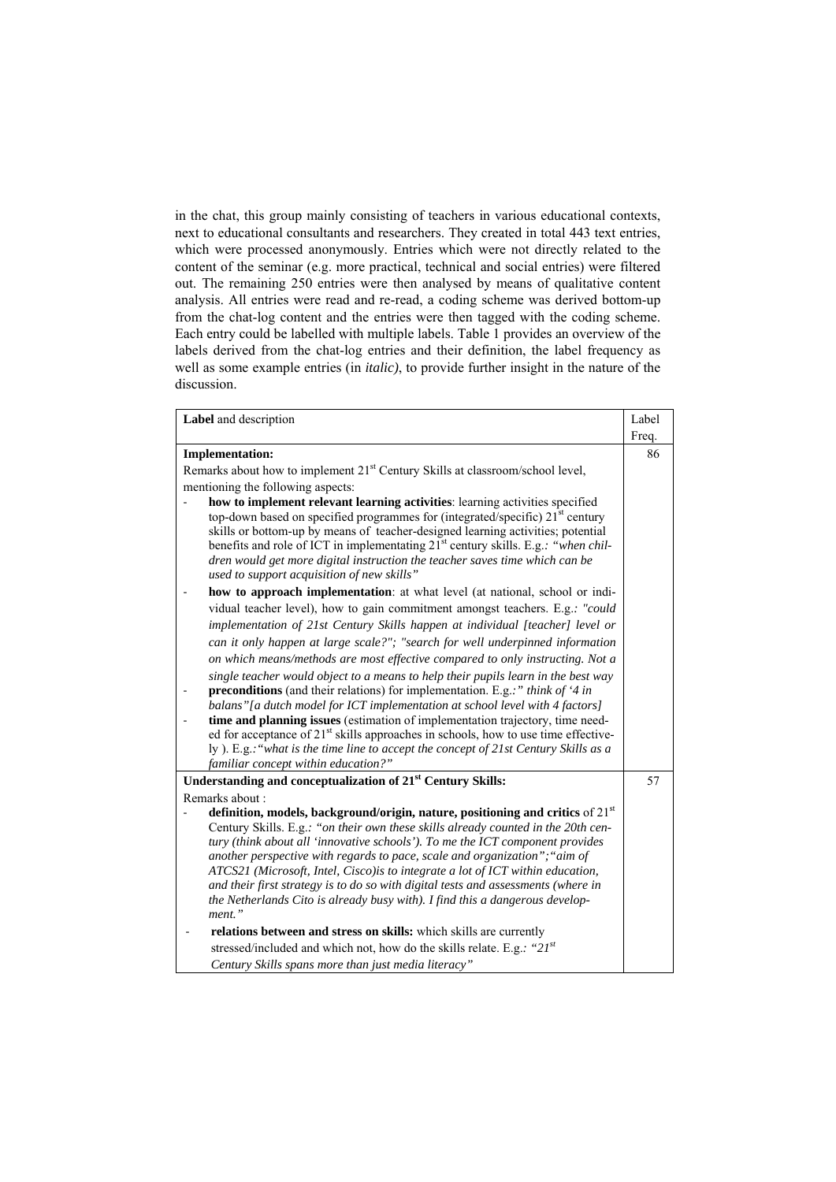in the chat, this group mainly consisting of teachers in various educational contexts, next to educational consultants and researchers. They created in total 443 text entries, which were processed anonymously. Entries which were not directly related to the content of the seminar (e.g. more practical, technical and social entries) were filtered out. The remaining 250 entries were then analysed by means of qualitative content analysis. All entries were read and re-read, a coding scheme was derived bottom-up from the chat-log content and the entries were then tagged with the coding scheme. Each entry could be labelled with multiple labels. Table 1 provides an overview of the labels derived from the chat-log entries and their definition, the label frequency as well as some example entries (in *italic)*, to provide further insight in the nature of the discussion.

| Label and description                                                                                                                                                                                                                                                                                                                                                                                                                                                                                                                                                                                                                                                                                                                                                                                                                                                                                                                                                                                | Label |
|------------------------------------------------------------------------------------------------------------------------------------------------------------------------------------------------------------------------------------------------------------------------------------------------------------------------------------------------------------------------------------------------------------------------------------------------------------------------------------------------------------------------------------------------------------------------------------------------------------------------------------------------------------------------------------------------------------------------------------------------------------------------------------------------------------------------------------------------------------------------------------------------------------------------------------------------------------------------------------------------------|-------|
|                                                                                                                                                                                                                                                                                                                                                                                                                                                                                                                                                                                                                                                                                                                                                                                                                                                                                                                                                                                                      | Freq. |
| <b>Implementation:</b>                                                                                                                                                                                                                                                                                                                                                                                                                                                                                                                                                                                                                                                                                                                                                                                                                                                                                                                                                                               | 86    |
| Remarks about how to implement 21 <sup>st</sup> Century Skills at classroom/school level,                                                                                                                                                                                                                                                                                                                                                                                                                                                                                                                                                                                                                                                                                                                                                                                                                                                                                                            |       |
| mentioning the following aspects:                                                                                                                                                                                                                                                                                                                                                                                                                                                                                                                                                                                                                                                                                                                                                                                                                                                                                                                                                                    |       |
| how to implement relevant learning activities: learning activities specified<br>top-down based on specified programmes for (integrated/specific) $21st$ century<br>skills or bottom-up by means of teacher-designed learning activities; potential<br>benefits and role of ICT in implementating 21 <sup>st</sup> century skills. E.g.: "when chil-<br>dren would get more digital instruction the teacher saves time which can be<br>used to support acquisition of new skills"                                                                                                                                                                                                                                                                                                                                                                                                                                                                                                                     |       |
| how to approach implementation: at what level (at national, school or indi-<br>vidual teacher level), how to gain commitment amongst teachers. E.g.: "could<br>implementation of 21st Century Skills happen at individual [teacher] level or<br>can it only happen at large scale?"; "search for well underpinned information<br>on which means/methods are most effective compared to only instructing. Not a<br>single teacher would object to a means to help their pupils learn in the best way<br><b>preconditions</b> (and their relations) for implementation. E.g.: " think of '4 in<br>balans" [a dutch model for ICT implementation at school level with 4 factors]<br>time and planning issues (estimation of implementation trajectory, time need-<br>÷<br>ed for acceptance of 21 <sup>st</sup> skills approaches in schools, how to use time effective-<br>ly ). E.g.: "what is the time line to accept the concept of 21st Century Skills as a<br>familiar concept within education?" |       |
| Understanding and conceptualization of 21 <sup>st</sup> Century Skills:                                                                                                                                                                                                                                                                                                                                                                                                                                                                                                                                                                                                                                                                                                                                                                                                                                                                                                                              | 57    |
| Remarks about:                                                                                                                                                                                                                                                                                                                                                                                                                                                                                                                                                                                                                                                                                                                                                                                                                                                                                                                                                                                       |       |
| definition, models, background/origin, nature, positioning and critics of $21st$<br>Century Skills. E.g.: "on their own these skills already counted in the 20th cen-<br>tury (think about all 'innovative schools'). To me the ICT component provides<br>another perspective with regards to pace, scale and organization"; "aim of<br>ATCS21 (Microsoft, Intel, Cisco) is to integrate a lot of ICT within education,<br>and their first strategy is to do so with digital tests and assessments (where in<br>the Netherlands Cito is already busy with). I find this a dangerous develop-<br>ment."<br>relations between and stress on skills: which skills are currently<br>stressed/included and which not, how do the skills relate. E.g.: "21st<br>Century Skills spans more than just media literacy"                                                                                                                                                                                        |       |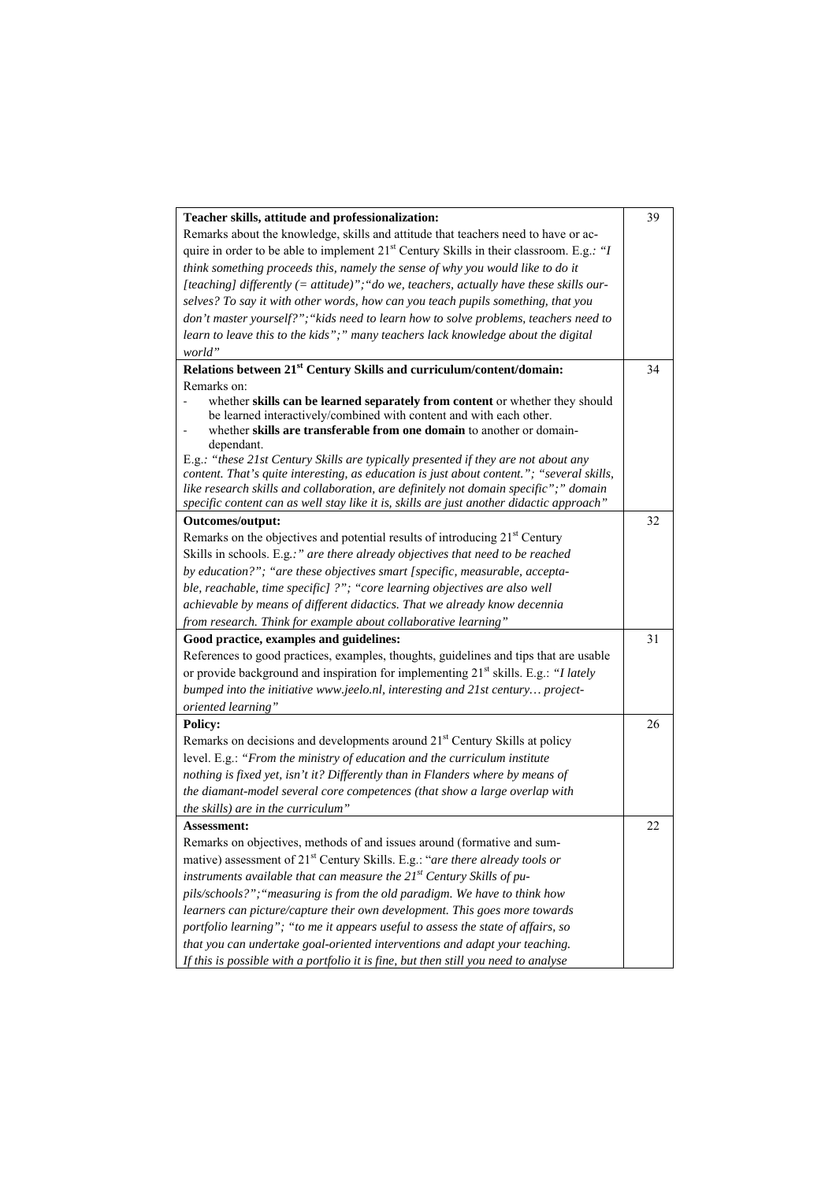| Teacher skills, attitude and professionalization:                                                | 39 |  |
|--------------------------------------------------------------------------------------------------|----|--|
| Remarks about the knowledge, skills and attitude that teachers need to have or ac-               |    |  |
| quire in order to be able to implement $21st$ Century Skills in their classroom. E.g.: "I        |    |  |
| think something proceeds this, namely the sense of why you would like to do it                   |    |  |
| [teaching] differently $(=$ attitude)"; "do we, teachers, actually have these skills our-        |    |  |
| selves? To say it with other words, how can you teach pupils something, that you                 |    |  |
| don't master yourself?"; "kids need to learn how to solve problems, teachers need to             |    |  |
| learn to leave this to the kids";" many teachers lack knowledge about the digital                |    |  |
| world"                                                                                           |    |  |
| Relations between 21 <sup>st</sup> Century Skills and curriculum/content/domain:                 | 34 |  |
| Remarks on:                                                                                      |    |  |
| whether skills can be learned separately from content or whether they should                     |    |  |
| be learned interactively/combined with content and with each other.                              |    |  |
| whether skills are transferable from one domain to another or domain-                            |    |  |
| dependant.<br>E.g.: "these 21st Century Skills are typically presented if they are not about any |    |  |
| content. That's quite interesting, as education is just about content."; "several skills,        |    |  |
| like research skills and collaboration, are definitely not domain specific";" domain             |    |  |
| specific content can as well stay like it is, skills are just another didactic approach"         |    |  |
| Outcomes/output:                                                                                 | 32 |  |
| Remarks on the objectives and potential results of introducing 21 <sup>st</sup> Century          |    |  |
| Skills in schools. E.g.:" are there already objectives that need to be reached                   |    |  |
| by education?"; "are these objectives smart [specific, measurable, accepta-                      |    |  |
| ble, reachable, time specific] ?"; "core learning objectives are also well                       |    |  |
| achievable by means of different didactics. That we already know decennia                        |    |  |
| from research. Think for example about collaborative learning"                                   |    |  |
| Good practice, examples and guidelines:                                                          | 31 |  |
| References to good practices, examples, thoughts, guidelines and tips that are usable            |    |  |
| or provide background and inspiration for implementing 21 <sup>st</sup> skills. E.g.: "I lately  |    |  |
| bumped into the initiative www.jeelo.nl, interesting and 21st century project-                   |    |  |
| oriented learning"                                                                               |    |  |
| <b>Policy:</b>                                                                                   | 26 |  |
| Remarks on decisions and developments around 21 <sup>st</sup> Century Skills at policy           |    |  |
| level. E.g.: "From the ministry of education and the curriculum institute                        |    |  |
| nothing is fixed yet, isn't it? Differently than in Flanders where by means of                   |    |  |
| the diamant-model several core competences (that show a large overlap with                       |    |  |
| the skills) are in the curriculum"                                                               |    |  |
| <b>Assessment:</b>                                                                               | 22 |  |
| Remarks on objectives, methods of and issues around (formative and sum-                          |    |  |
| mative) assessment of 21 <sup>st</sup> Century Skills. E.g.: "are there already tools or         |    |  |
| instruments available that can measure the $21^{st}$ Century Skills of pu-                       |    |  |
| pils/schools?"; "measuring is from the old paradigm. We have to think how                        |    |  |
| learners can picture/capture their own development. This goes more towards                       |    |  |
| portfolio learning"; "to me it appears useful to assess the state of affairs, so                 |    |  |
| that you can undertake goal-oriented interventions and adapt your teaching.                      |    |  |
| If this is possible with a portfolio it is fine, but then still you need to analyse              |    |  |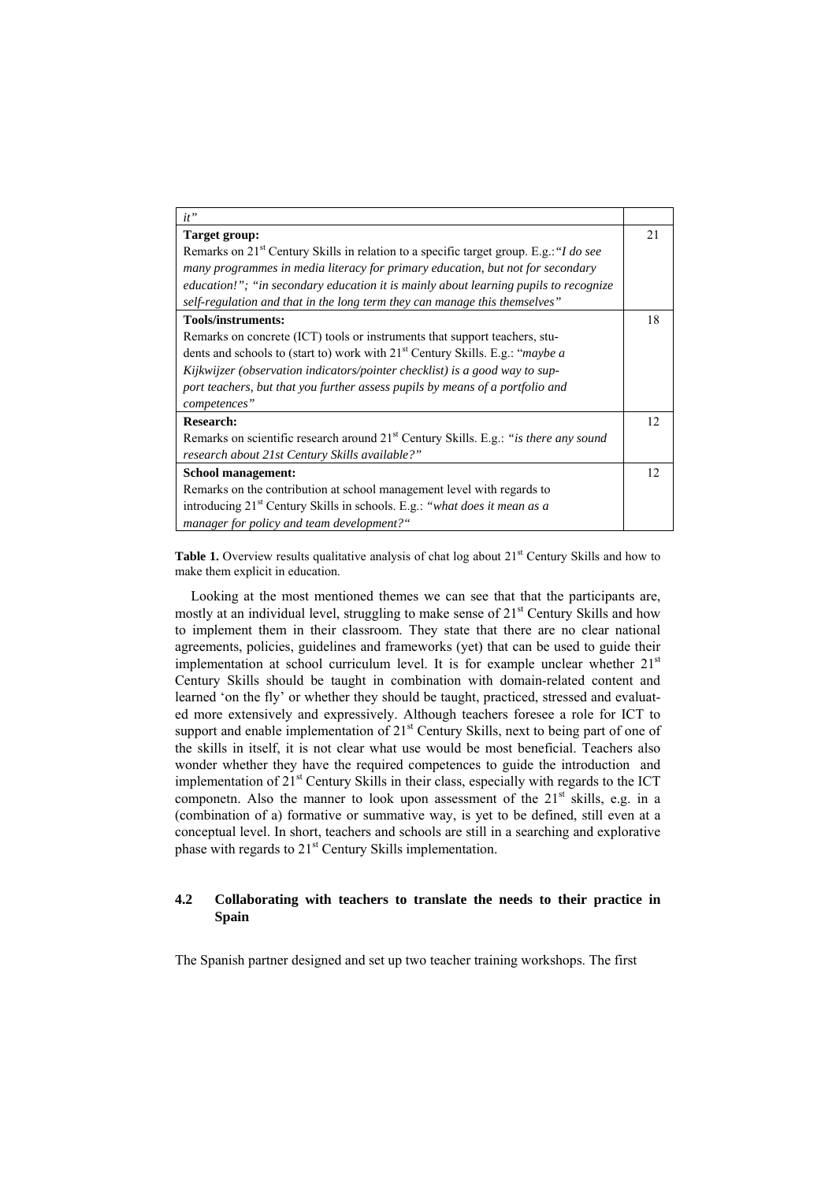| it"                                                                                                |                   |
|----------------------------------------------------------------------------------------------------|-------------------|
| Target group:                                                                                      | 2.1               |
| Remarks on 21 <sup>st</sup> Century Skills in relation to a specific target group. E.g.: "I do see |                   |
| many programmes in media literacy for primary education, but not for secondary                     |                   |
| education!"; "in secondary education it is mainly about learning pupils to recognize               |                   |
| self-regulation and that in the long term they can manage this themselves"                         |                   |
| <b>Tools/instruments:</b>                                                                          | 18                |
| Remarks on concrete (ICT) tools or instruments that support teachers, stu-                         |                   |
| dents and schools to (start to) work with $21st$ Century Skills. E.g.: " <i>maybe a</i>            |                   |
| Kijkwijzer (observation indicators/pointer checklist) is a good way to sup-                        |                   |
| port teachers, but that you further assess pupils by means of a portfolio and                      |                   |
| competences"                                                                                       |                   |
| <b>Research:</b>                                                                                   | 12                |
| Remarks on scientific research around 21 <sup>st</sup> Century Skills. E.g.: "is there any sound   |                   |
| research about 21st Century Skills available?"                                                     |                   |
| <b>School management:</b>                                                                          | $12 \overline{)}$ |
| Remarks on the contribution at school management level with regards to                             |                   |
| introducing 21 <sup>st</sup> Century Skills in schools. E.g.: "what does it mean as a              |                   |
| manager for policy and team development?"                                                          |                   |

**Table 1.** Overview results qualitative analysis of chat log about 21<sup>st</sup> Century Skills and how to make them explicit in education.

Looking at the most mentioned themes we can see that that the participants are, mostly at an individual level, struggling to make sense of  $21<sup>st</sup>$  Century Skills and how to implement them in their classroom. They state that there are no clear national agreements, policies, guidelines and frameworks (yet) that can be used to guide their implementation at school curriculum level. It is for example unclear whether  $21<sup>st</sup>$ Century Skills should be taught in combination with domain-related content and learned 'on the fly' or whether they should be taught, practiced, stressed and evaluated more extensively and expressively. Although teachers foresee a role for ICT to support and enable implementation of  $21<sup>st</sup>$  Century Skills, next to being part of one of the skills in itself, it is not clear what use would be most beneficial. Teachers also wonder whether they have the required competences to guide the introduction and implementation of  $21<sup>st</sup>$  Century Skills in their class, especially with regards to the ICT componetn. Also the manner to look upon assessment of the  $21<sup>st</sup>$  skills, e.g. in a (combination of a) formative or summative way, is yet to be defined, still even at a conceptual level. In short, teachers and schools are still in a searching and explorative phase with regards to  $21<sup>st</sup>$  Century Skills implementation.

## **4.2 Collaborating with teachers to translate the needs to their practice in Spain**

The Spanish partner designed and set up two teacher training workshops. The first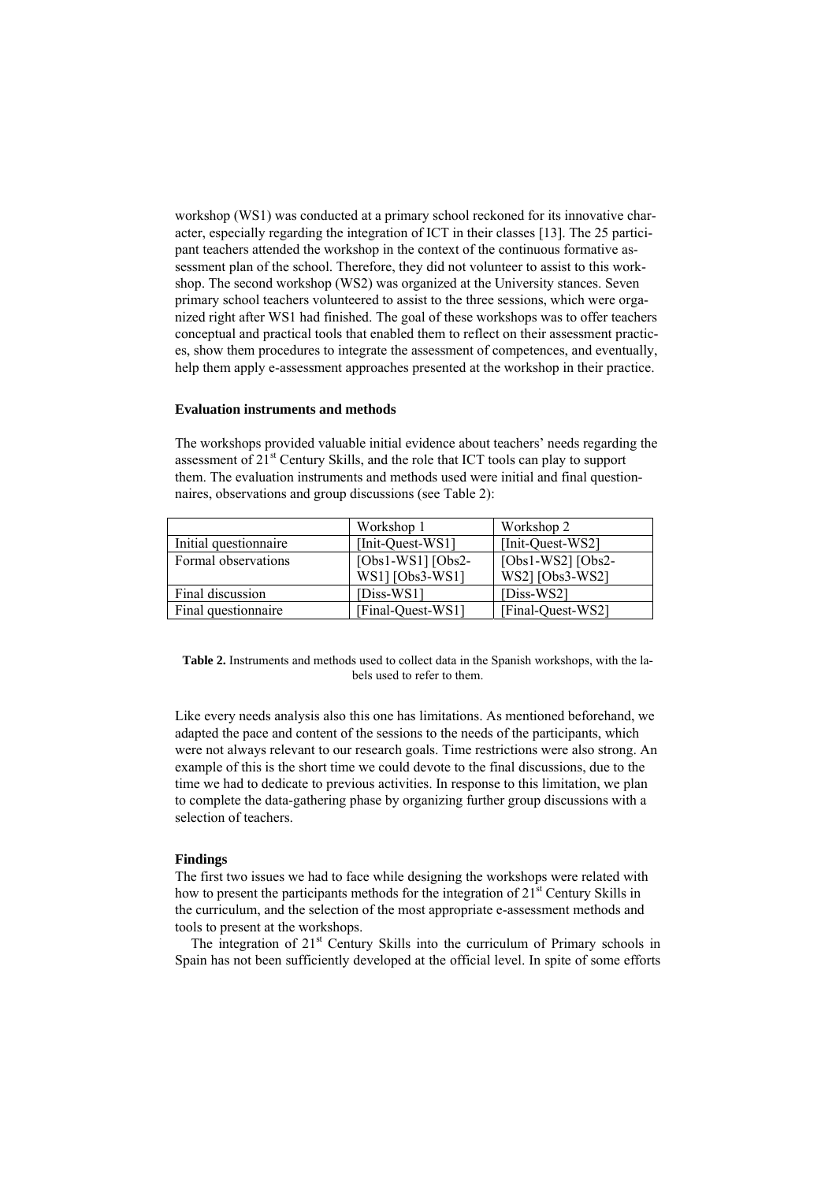workshop (WS1) was conducted at a primary school reckoned for its innovative character, especially regarding the integration of ICT in their classes [13]. The 25 participant teachers attended the workshop in the context of the continuous formative assessment plan of the school. Therefore, they did not volunteer to assist to this workshop. The second workshop (WS2) was organized at the University stances. Seven primary school teachers volunteered to assist to the three sessions, which were organized right after WS1 had finished. The goal of these workshops was to offer teachers conceptual and practical tools that enabled them to reflect on their assessment practices, show them procedures to integrate the assessment of competences, and eventually, help them apply e-assessment approaches presented at the workshop in their practice.

#### **Evaluation instruments and methods**

The workshops provided valuable initial evidence about teachers' needs regarding the assessment of  $21<sup>st</sup>$  Century Skills, and the role that ICT tools can play to support them. The evaluation instruments and methods used were initial and final questionnaires, observations and group discussions (see Table 2):

|                       | Workshop 1            | Workshop 2                |
|-----------------------|-----------------------|---------------------------|
| Initial questionnaire | [Init-Quest-WS1]      | [Init-Quest-WS2]          |
| Formal observations   | $[Obs1-WS1]$ $[Obs2-$ | [ $Obs1-WS2$ ] [ $Obs2$ - |
|                       | WS1] [Obs3-WS1]       | WS2] [Obs3-WS2]           |
| Final discussion      | [Diss-WS1]            | [ $Diss-WS2$ ]            |
| Final questionnaire   | [Final-Quest-WS1]     | [Final-Quest-WS2]         |

**Table 2.** Instruments and methods used to collect data in the Spanish workshops, with the labels used to refer to them.

Like every needs analysis also this one has limitations. As mentioned beforehand, we adapted the pace and content of the sessions to the needs of the participants, which were not always relevant to our research goals. Time restrictions were also strong. An example of this is the short time we could devote to the final discussions, due to the time we had to dedicate to previous activities. In response to this limitation, we plan to complete the data-gathering phase by organizing further group discussions with a selection of teachers.

#### **Findings**

The first two issues we had to face while designing the workshops were related with how to present the participants methods for the integration of  $21<sup>st</sup>$  Century Skills in the curriculum, and the selection of the most appropriate e-assessment methods and tools to present at the workshops.

The integration of  $21<sup>st</sup>$  Century Skills into the curriculum of Primary schools in Spain has not been sufficiently developed at the official level. In spite of some efforts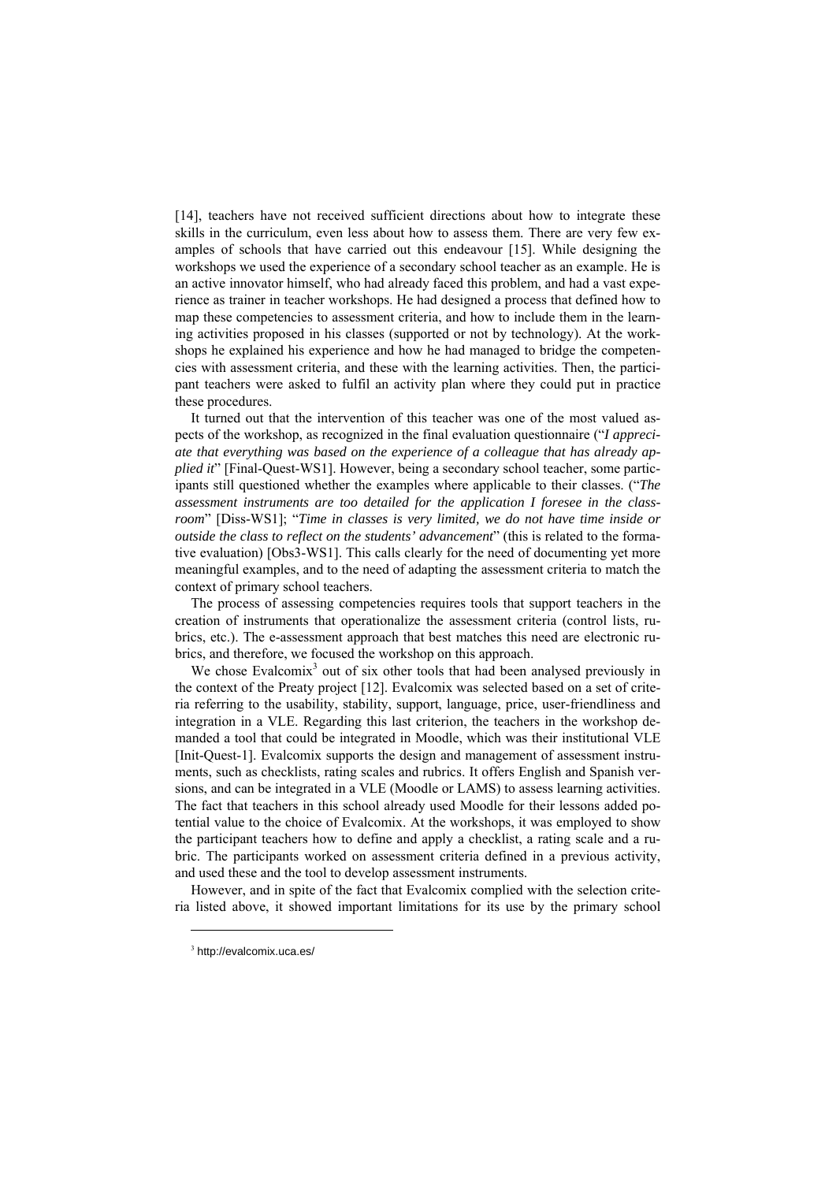[14], teachers have not received sufficient directions about how to integrate these skills in the curriculum, even less about how to assess them. There are very few examples of schools that have carried out this endeavour [15]. While designing the workshops we used the experience of a secondary school teacher as an example. He is an active innovator himself, who had already faced this problem, and had a vast experience as trainer in teacher workshops. He had designed a process that defined how to map these competencies to assessment criteria, and how to include them in the learning activities proposed in his classes (supported or not by technology). At the workshops he explained his experience and how he had managed to bridge the competencies with assessment criteria, and these with the learning activities. Then, the participant teachers were asked to fulfil an activity plan where they could put in practice these procedures.

It turned out that the intervention of this teacher was one of the most valued aspects of the workshop, as recognized in the final evaluation questionnaire ("*I appreciate that everything was based on the experience of a colleague that has already applied it*" [Final-Quest-WS1]. However, being a secondary school teacher, some participants still questioned whether the examples where applicable to their classes. ("*The assessment instruments are too detailed for the application I foresee in the classroom*" [Diss-WS1]; "*Time in classes is very limited, we do not have time inside or outside the class to reflect on the students' advancement*" (this is related to the formative evaluation) [Obs3-WS1]. This calls clearly for the need of documenting yet more meaningful examples, and to the need of adapting the assessment criteria to match the context of primary school teachers.

The process of assessing competencies requires tools that support teachers in the creation of instruments that operationalize the assessment criteria (control lists, rubrics, etc.). The e-assessment approach that best matches this need are electronic rubrics, and therefore, we focused the workshop on this approach.

We chose Evalcomix<sup>3</sup> out of six other tools that had been analysed previously in the context of the Preaty project [12]. Evalcomix was selected based on a set of criteria referring to the usability, stability, support, language, price, user-friendliness and integration in a VLE. Regarding this last criterion, the teachers in the workshop demanded a tool that could be integrated in Moodle, which was their institutional VLE [Init-Quest-1]. Evalcomix supports the design and management of assessment instruments, such as checklists, rating scales and rubrics. It offers English and Spanish versions, and can be integrated in a VLE (Moodle or LAMS) to assess learning activities. The fact that teachers in this school already used Moodle for their lessons added potential value to the choice of Evalcomix. At the workshops, it was employed to show the participant teachers how to define and apply a checklist, a rating scale and a rubric. The participants worked on assessment criteria defined in a previous activity, and used these and the tool to develop assessment instruments.

However, and in spite of the fact that Evalcomix complied with the selection criteria listed above, it showed important limitations for its use by the primary school

l

<sup>3</sup> http://evalcomix.uca.es/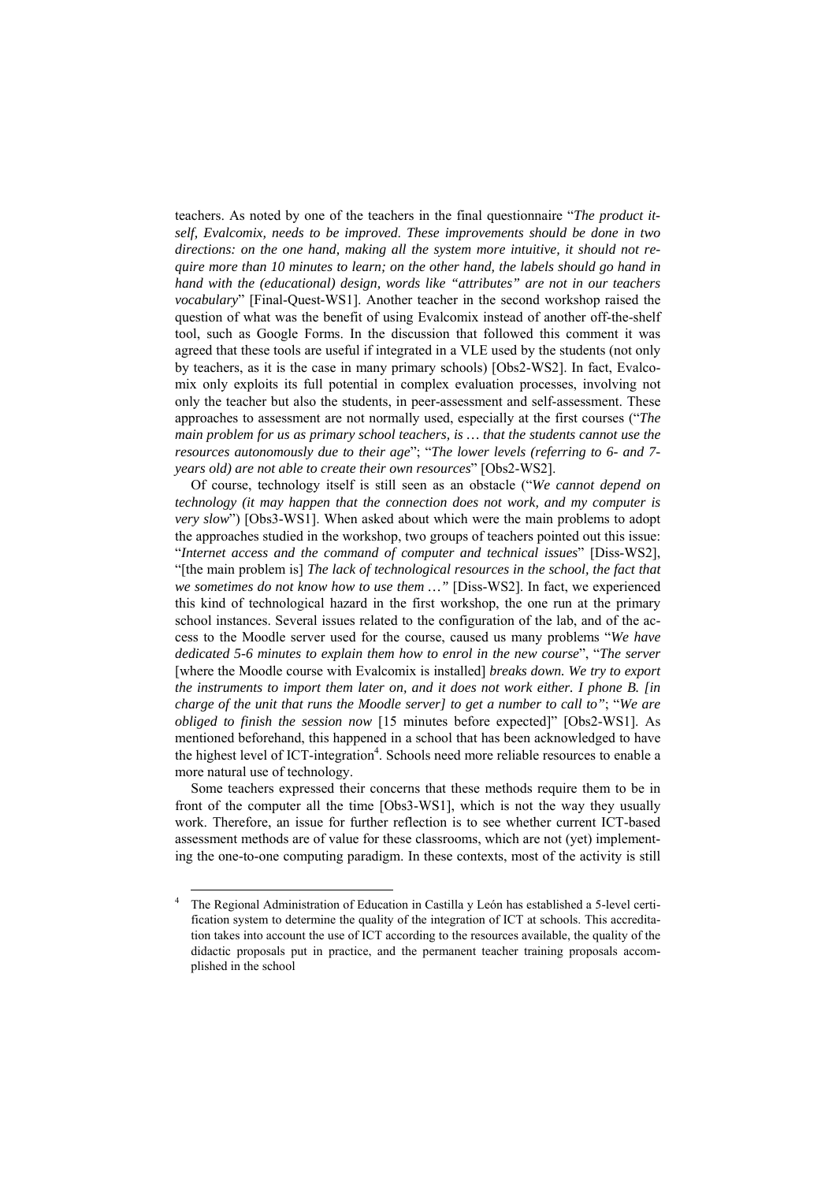teachers. As noted by one of the teachers in the final questionnaire "*The product itself, Evalcomix, needs to be improved*. *These improvements should be done in two directions: on the one hand, making all the system more intuitive, it should not require more than 10 minutes to learn; on the other hand, the labels should go hand in hand with the (educational) design, words like "attributes" are not in our teachers vocabulary*" [Final-Quest-WS1]. Another teacher in the second workshop raised the question of what was the benefit of using Evalcomix instead of another off-the-shelf tool, such as Google Forms. In the discussion that followed this comment it was agreed that these tools are useful if integrated in a VLE used by the students (not only by teachers, as it is the case in many primary schools) [Obs2-WS2]. In fact, Evalcomix only exploits its full potential in complex evaluation processes, involving not only the teacher but also the students, in peer-assessment and self-assessment. These approaches to assessment are not normally used, especially at the first courses ("*The main problem for us as primary school teachers, is … that the students cannot use the resources autonomously due to their age*"; "*The lower levels (referring to 6- and 7 years old) are not able to create their own resources*" [Obs2-WS2].

Of course, technology itself is still seen as an obstacle ("*We cannot depend on technology (it may happen that the connection does not work, and my computer is very slow*") [Obs3-WS1]. When asked about which were the main problems to adopt the approaches studied in the workshop, two groups of teachers pointed out this issue: "*Internet access and the command of computer and technical issues*" [Diss-WS2], "[the main problem is] *The lack of technological resources in the school, the fact that we sometimes do not know how to use them …"* [Diss-WS2]. In fact, we experienced this kind of technological hazard in the first workshop, the one run at the primary school instances. Several issues related to the configuration of the lab, and of the access to the Moodle server used for the course, caused us many problems "*We have dedicated 5-6 minutes to explain them how to enrol in the new course*", "*The server* [where the Moodle course with Evalcomix is installed] *breaks down. We try to export the instruments to import them later on, and it does not work either. I phone B. [in charge of the unit that runs the Moodle server] to get a number to call to"*; "*We are obliged to finish the session now* [15 minutes before expected]" [Obs2-WS1]. As mentioned beforehand, this happened in a school that has been acknowledged to have the highest level of ICT-integration<sup>4</sup>. Schools need more reliable resources to enable a more natural use of technology.

Some teachers expressed their concerns that these methods require them to be in front of the computer all the time [Obs3-WS1], which is not the way they usually work. Therefore, an issue for further reflection is to see whether current ICT-based assessment methods are of value for these classrooms, which are not (yet) implementing the one-to-one computing paradigm. In these contexts, most of the activity is still

 <sup>4</sup> The Regional Administration of Education in Castilla y León has established a 5-level certification system to determine the quality of the integration of ICT at schools. This accreditation takes into account the use of ICT according to the resources available, the quality of the didactic proposals put in practice, and the permanent teacher training proposals accomplished in the school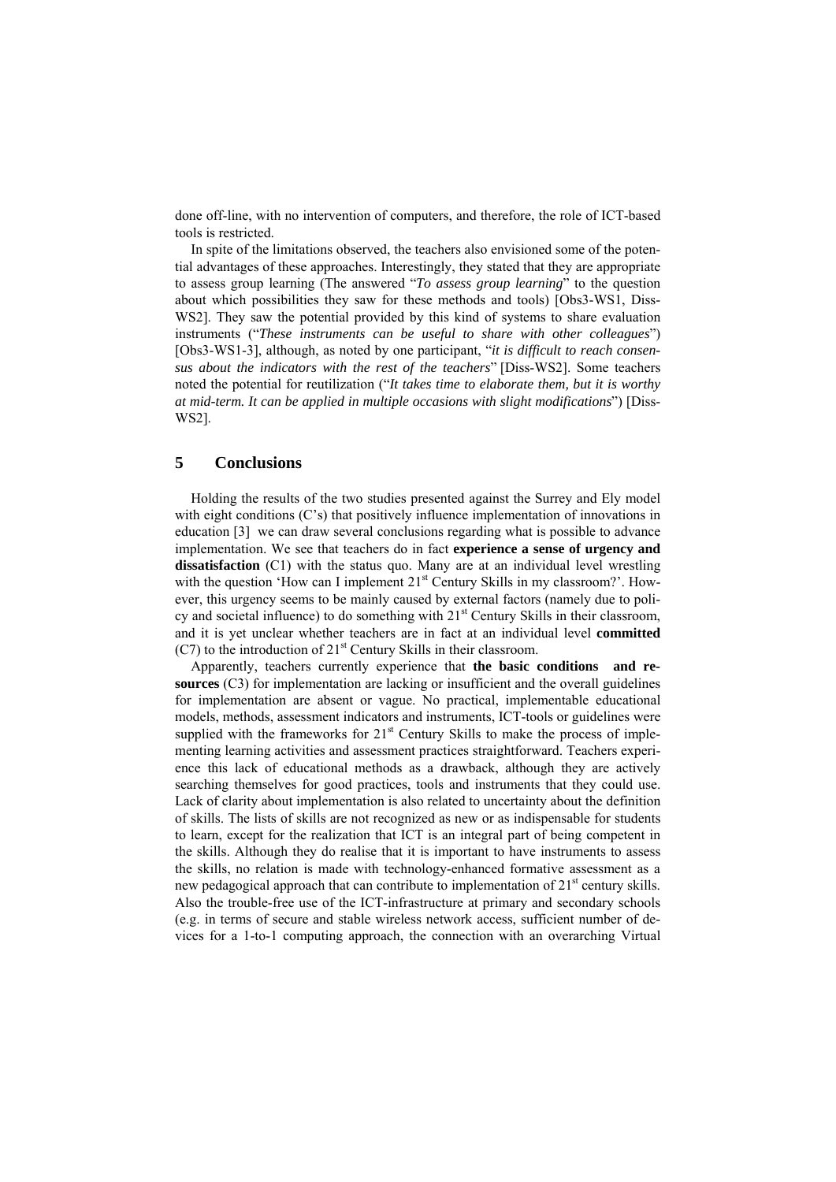done off-line, with no intervention of computers, and therefore, the role of ICT-based tools is restricted.

In spite of the limitations observed, the teachers also envisioned some of the potential advantages of these approaches. Interestingly, they stated that they are appropriate to assess group learning (The answered "*To assess group learning*" to the question about which possibilities they saw for these methods and tools) [Obs3-WS1, Diss-WS2]. They saw the potential provided by this kind of systems to share evaluation instruments ("*These instruments can be useful to share with other colleagues*") [Obs3-WS1-3], although, as noted by one participant, "*it is difficult to reach consensus about the indicators with the rest of the teachers*" [Diss-WS2]. Some teachers noted the potential for reutilization ("*It takes time to elaborate them, but it is worthy at mid-term. It can be applied in multiple occasions with slight modifications*") [Diss-WS2].

## **5 Conclusions**

Holding the results of the two studies presented against the Surrey and Ely model with eight conditions (C's) that positively influence implementation of innovations in education [3] we can draw several conclusions regarding what is possible to advance implementation. We see that teachers do in fact **experience a sense of urgency and dissatisfaction** (C1) with the status quo. Many are at an individual level wrestling with the question 'How can I implement  $21<sup>st</sup>$  Century Skills in my classroom?'. However, this urgency seems to be mainly caused by external factors (namely due to policy and societal influence) to do something with  $21<sup>st</sup>$  Century Skills in their classroom, and it is yet unclear whether teachers are in fact at an individual level **committed**   $(C7)$  to the introduction of  $21<sup>st</sup>$  Century Skills in their classroom.

Apparently, teachers currently experience that **the basic conditions and resources** (C3) for implementation are lacking or insufficient and the overall guidelines for implementation are absent or vague. No practical, implementable educational models, methods, assessment indicators and instruments, ICT-tools or guidelines were supplied with the frameworks for  $21<sup>st</sup>$  Century Skills to make the process of implementing learning activities and assessment practices straightforward. Teachers experience this lack of educational methods as a drawback, although they are actively searching themselves for good practices, tools and instruments that they could use. Lack of clarity about implementation is also related to uncertainty about the definition of skills. The lists of skills are not recognized as new or as indispensable for students to learn, except for the realization that ICT is an integral part of being competent in the skills. Although they do realise that it is important to have instruments to assess the skills, no relation is made with technology-enhanced formative assessment as a new pedagogical approach that can contribute to implementation of  $21<sup>st</sup>$  century skills. Also the trouble-free use of the ICT-infrastructure at primary and secondary schools (e.g. in terms of secure and stable wireless network access, sufficient number of devices for a 1-to-1 computing approach, the connection with an overarching Virtual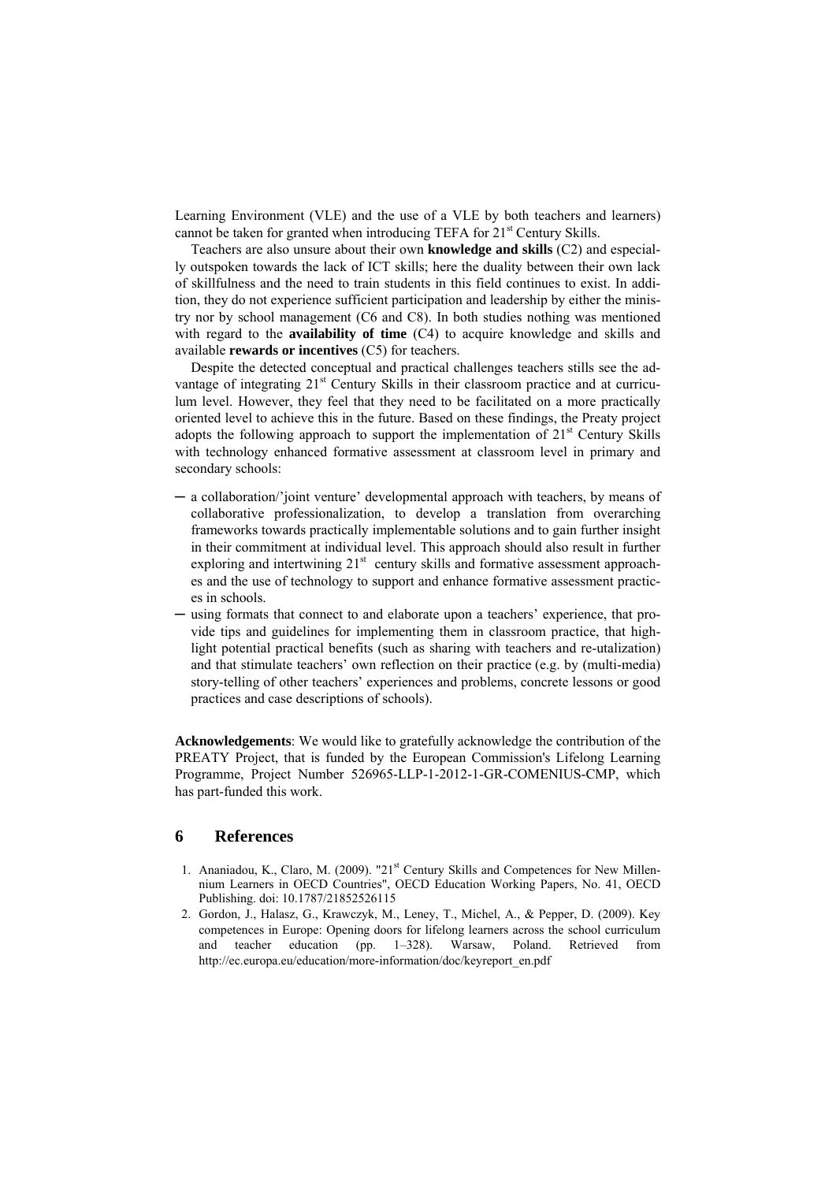Learning Environment (VLE) and the use of a VLE by both teachers and learners) cannot be taken for granted when introducing TEFA for  $21<sup>st</sup>$  Century Skills.

Teachers are also unsure about their own **knowledge and skills** (C2) and especially outspoken towards the lack of ICT skills; here the duality between their own lack of skillfulness and the need to train students in this field continues to exist. In addition, they do not experience sufficient participation and leadership by either the ministry nor by school management (C6 and C8). In both studies nothing was mentioned with regard to the **availability of time** (C4) to acquire knowledge and skills and available **rewards or incentives** (C5) for teachers.

Despite the detected conceptual and practical challenges teachers stills see the advantage of integrating  $21<sup>st</sup>$  Century Skills in their classroom practice and at curriculum level. However, they feel that they need to be facilitated on a more practically oriented level to achieve this in the future. Based on these findings, the Preaty project adopts the following approach to support the implementation of  $21<sup>st</sup>$  Century Skills with technology enhanced formative assessment at classroom level in primary and secondary schools:

- ─ a collaboration/'joint venture' developmental approach with teachers, by means of collaborative professionalization, to develop a translation from overarching frameworks towards practically implementable solutions and to gain further insight in their commitment at individual level. This approach should also result in further exploring and intertwining  $21<sup>st</sup>$  century skills and formative assessment approaches and the use of technology to support and enhance formative assessment practices in schools.
- using formats that connect to and elaborate upon a teachers' experience, that provide tips and guidelines for implementing them in classroom practice, that highlight potential practical benefits (such as sharing with teachers and re-utalization) and that stimulate teachers' own reflection on their practice (e.g. by (multi-media) story-telling of other teachers' experiences and problems, concrete lessons or good practices and case descriptions of schools).

**Acknowledgements**: We would like to gratefully acknowledge the contribution of the PREATY Project, that is funded by the European Commission's Lifelong Learning Programme, Project Number 526965-LLP-1-2012-1-GR-COMENIUS-CMP, which has part-funded this work.

## **6 References**

- 1. Ananiadou, K., Claro, M. (2009). "21<sup>st</sup> Century Skills and Competences for New Millennium Learners in OECD Countries", OECD Education Working Papers, No. 41, OECD Publishing. doi: 10.1787/21852526115
- 2. Gordon, J., Halasz, G., Krawczyk, M., Leney, T., Michel, A., & Pepper, D. (2009). Key competences in Europe: Opening doors for lifelong learners across the school curriculum and teacher education (pp. 1–328). Warsaw, Poland. Retrieved from http://ec.europa.eu/education/more-information/doc/keyreport\_en.pdf